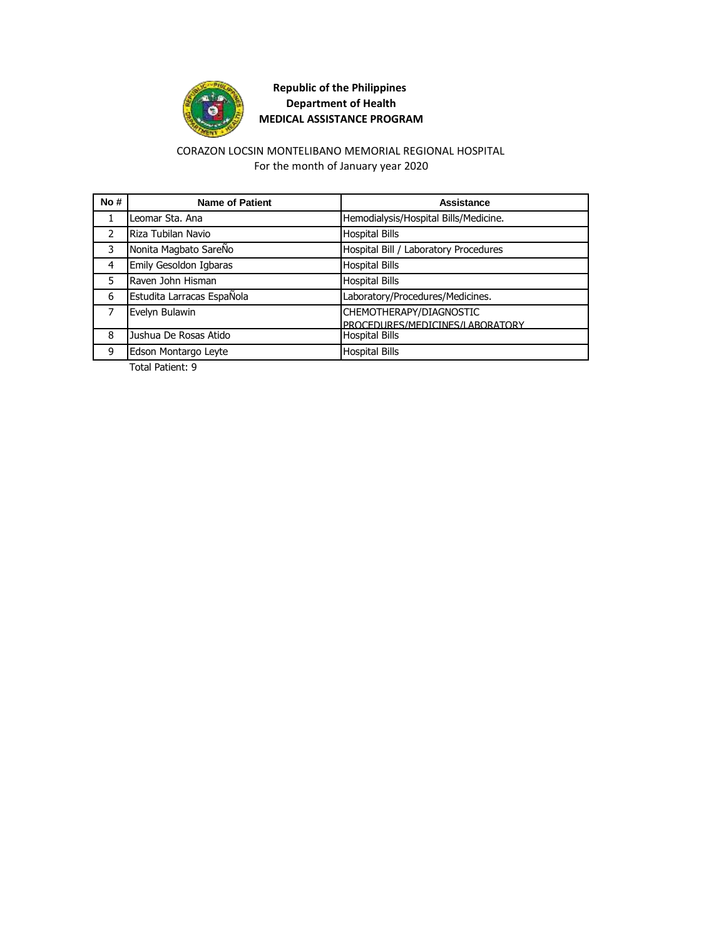

#### For the month of January year 2020 CORAZON LOCSIN MONTELIBANO MEMORIAL REGIONAL HOSPITAL

| No#           | <b>Name of Patient</b>     | Assistance                            |
|---------------|----------------------------|---------------------------------------|
| 1             | Leomar Sta. Ana            | Hemodialysis/Hospital Bills/Medicine. |
| $\mathcal{P}$ | Riza Tubilan Navio         | <b>Hospital Bills</b>                 |
| 3             | Nonita Magbato SareÑo      | Hospital Bill / Laboratory Procedures |
| 4             | Emily Gesoldon Igbaras     | <b>Hospital Bills</b>                 |
| 5             | Raven John Hisman          | <b>Hospital Bills</b>                 |
| 6             | Estudita Larracas EspaÑola | Laboratory/Procedures/Medicines.      |
| 7             | Evelyn Bulawin             | CHEMOTHERAPY/DIAGNOSTIC               |
|               |                            | PROCEDURES/MEDICINES/LABORATORY       |
| 8             | Jushua De Rosas Atido      | <b>Hospital Bills</b>                 |
| 9             | Edson Montargo Leyte       | <b>Hospital Bills</b>                 |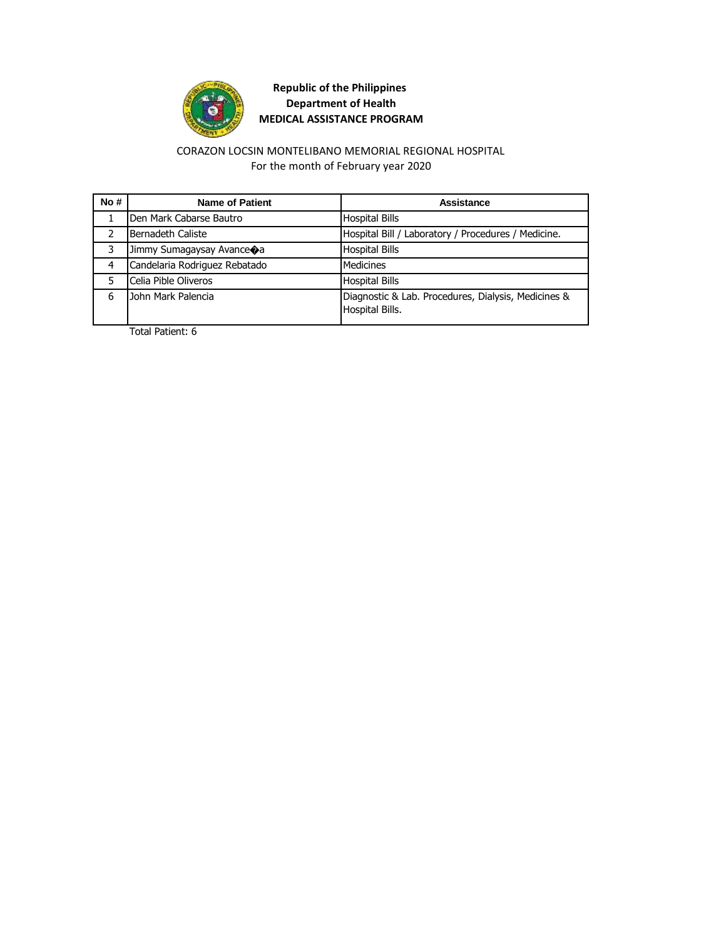

#### For the month of February year 2020 CORAZON LOCSIN MONTELIBANO MEMORIAL REGIONAL HOSPITAL

| No# | <b>Name of Patient</b>        | Assistance                                                             |
|-----|-------------------------------|------------------------------------------------------------------------|
|     | Den Mark Cabarse Bautro       | <b>Hospital Bills</b>                                                  |
|     | Bernadeth Caliste             | Hospital Bill / Laboratory / Procedures / Medicine.                    |
| 3   | Jimmy Sumagaysay Avance       | <b>Hospital Bills</b>                                                  |
| 4   | Candelaria Rodriguez Rebatado | <b>Medicines</b>                                                       |
| 5   | Celia Pible Oliveros          | <b>Hospital Bills</b>                                                  |
| 6   | John Mark Palencia            | Diagnostic & Lab. Procedures, Dialysis, Medicines &<br>Hospital Bills. |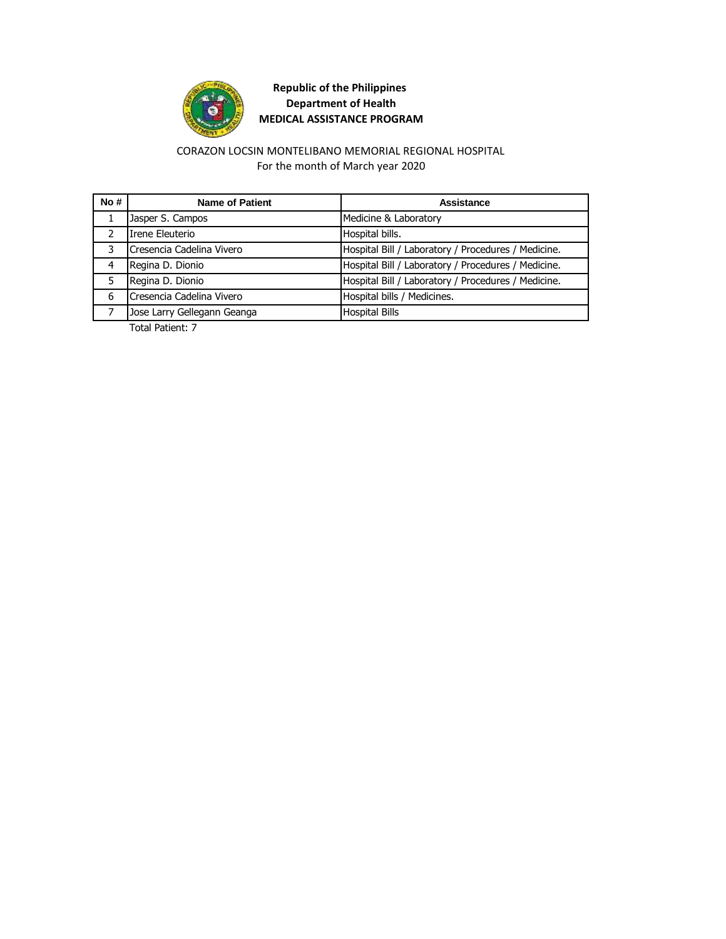

#### For the month of March year 2020 CORAZON LOCSIN MONTELIBANO MEMORIAL REGIONAL HOSPITAL

| No#           | <b>Name of Patient</b>      | Assistance                                          |
|---------------|-----------------------------|-----------------------------------------------------|
|               | Jasper S. Campos            | Medicine & Laboratory                               |
| $\mathcal{P}$ | Irene Eleuterio             | Hospital bills.                                     |
| 3             | Cresencia Cadelina Vivero   | Hospital Bill / Laboratory / Procedures / Medicine. |
| 4             | Regina D. Dionio            | Hospital Bill / Laboratory / Procedures / Medicine. |
|               | Regina D. Dionio            | Hospital Bill / Laboratory / Procedures / Medicine. |
| 6             | Cresencia Cadelina Vivero   | Hospital bills / Medicines.                         |
|               | Jose Larry Gellegann Geanga | <b>Hospital Bills</b>                               |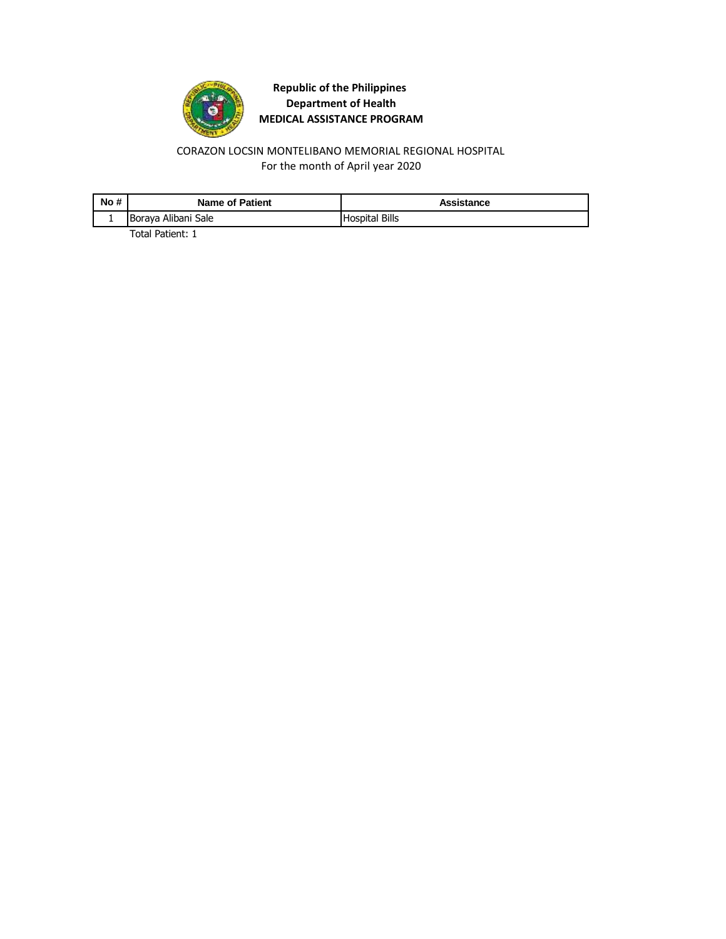

#### For the month of April year 2020 CORAZON LOCSIN MONTELIBANO MEMORIAL REGIONAL HOSPITAL

| No# | <b>Name of Patient</b> | Assistance            |
|-----|------------------------|-----------------------|
|     | Boraya Alibani Sale    | <b>Hospital Bills</b> |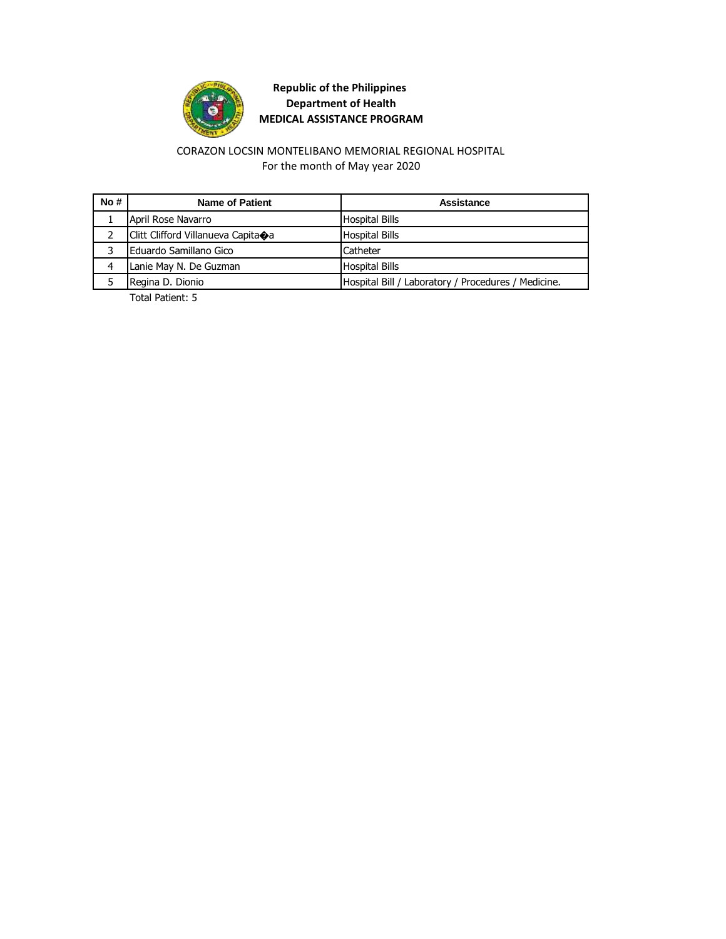

#### For the month of May year 2020 CORAZON LOCSIN MONTELIBANO MEMORIAL REGIONAL HOSPITAL

| No# | Name of Patient                    | Assistance                                          |
|-----|------------------------------------|-----------------------------------------------------|
|     | April Rose Navarro                 | <b>Hospital Bills</b>                               |
|     | Clitt Clifford Villanueva Capita�a | <b>Hospital Bills</b>                               |
|     | Eduardo Samillano Gico             | Catheter                                            |
| 4   | Lanie May N. De Guzman             | <b>Hospital Bills</b>                               |
|     | Regina D. Dionio                   | Hospital Bill / Laboratory / Procedures / Medicine. |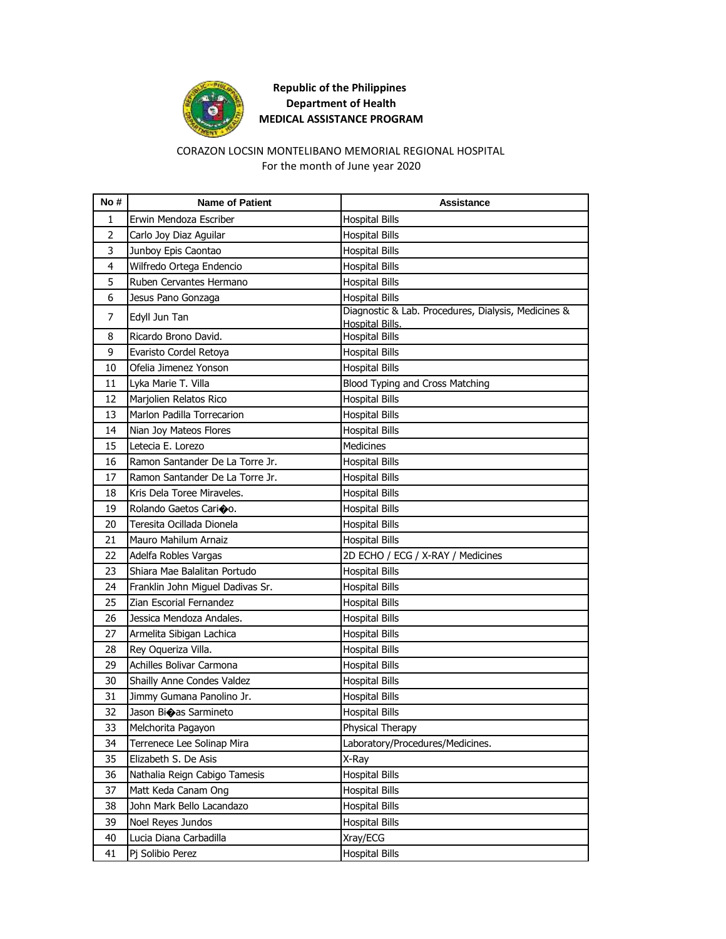

#### CORAZON LOCSIN MONTELIBANO MEMORIAL REGIONAL HOSPITAL For the month of June year 2020

| No#            | <b>Name of Patient</b>           | Assistance                                                             |
|----------------|----------------------------------|------------------------------------------------------------------------|
| 1              | Erwin Mendoza Escriber           | <b>Hospital Bills</b>                                                  |
| $\overline{2}$ | Carlo Joy Diaz Aguilar           | <b>Hospital Bills</b>                                                  |
| 3              | Junboy Epis Caontao              | <b>Hospital Bills</b>                                                  |
| 4              | Wilfredo Ortega Endencio         | <b>Hospital Bills</b>                                                  |
| 5              | Ruben Cervantes Hermano          | <b>Hospital Bills</b>                                                  |
| 6              | Jesus Pano Gonzaga               | <b>Hospital Bills</b>                                                  |
| 7              | Edyll Jun Tan                    | Diagnostic & Lab. Procedures, Dialysis, Medicines &<br>Hospital Bills. |
| 8              | Ricardo Brono David.             | <b>Hospital Bills</b>                                                  |
| 9              | Evaristo Cordel Retoya           | <b>Hospital Bills</b>                                                  |
| 10             | Ofelia Jimenez Yonson            | <b>Hospital Bills</b>                                                  |
| 11             | Lyka Marie T. Villa              | Blood Typing and Cross Matching                                        |
| 12             | Marjolien Relatos Rico           | <b>Hospital Bills</b>                                                  |
| 13             | Marlon Padilla Torrecarion       | <b>Hospital Bills</b>                                                  |
| 14             | Nian Joy Mateos Flores           | <b>Hospital Bills</b>                                                  |
| 15             | Letecia E. Lorezo                | Medicines                                                              |
| 16             | Ramon Santander De La Torre Jr.  | <b>Hospital Bills</b>                                                  |
| 17             | Ramon Santander De La Torre Jr.  | <b>Hospital Bills</b>                                                  |
| 18             | Kris Dela Toree Miraveles.       | <b>Hospital Bills</b>                                                  |
| 19             | Rolando Gaetos Carioo.           | <b>Hospital Bills</b>                                                  |
| 20             | Teresita Ocillada Dionela        | <b>Hospital Bills</b>                                                  |
| 21             | Mauro Mahilum Arnaiz             | <b>Hospital Bills</b>                                                  |
| 22             | Adelfa Robles Vargas             | 2D ECHO / ECG / X-RAY / Medicines                                      |
| 23             | Shiara Mae Balalitan Portudo     | <b>Hospital Bills</b>                                                  |
| 24             | Franklin John Miguel Dadivas Sr. | <b>Hospital Bills</b>                                                  |
| 25             | Zian Escorial Fernandez          | <b>Hospital Bills</b>                                                  |
| 26             | Jessica Mendoza Andales.         | <b>Hospital Bills</b>                                                  |
| 27             | Armelita Sibigan Lachica         | <b>Hospital Bills</b>                                                  |
| 28             | Rey Oqueriza Villa.              | <b>Hospital Bills</b>                                                  |
| 29             | Achilles Bolivar Carmona         | <b>Hospital Bills</b>                                                  |
| 30             | Shailly Anne Condes Valdez       | <b>Hospital Bills</b>                                                  |
| 31             | Jimmy Gumana Panolino Jr.        | <b>Hospital Bills</b>                                                  |
| 32             | Jason Bioas Sarmineto            | <b>Hospital Bills</b>                                                  |
| 33             | Melchorita Pagayon               | <b>Physical Therapy</b>                                                |
| 34             | Terrenece Lee Solinap Mira       | Laboratory/Procedures/Medicines.                                       |
| 35             | Elizabeth S. De Asis             | X-Ray                                                                  |
| 36             | Nathalia Reign Cabigo Tamesis    | <b>Hospital Bills</b>                                                  |
| 37             | Matt Keda Canam Ong              | <b>Hospital Bills</b>                                                  |
| 38             | John Mark Bello Lacandazo        | <b>Hospital Bills</b>                                                  |
| 39             | Noel Reyes Jundos                | <b>Hospital Bills</b>                                                  |
| 40             | Lucia Diana Carbadilla           | Xray/ECG                                                               |
| 41             | Pj Solibio Perez                 | <b>Hospital Bills</b>                                                  |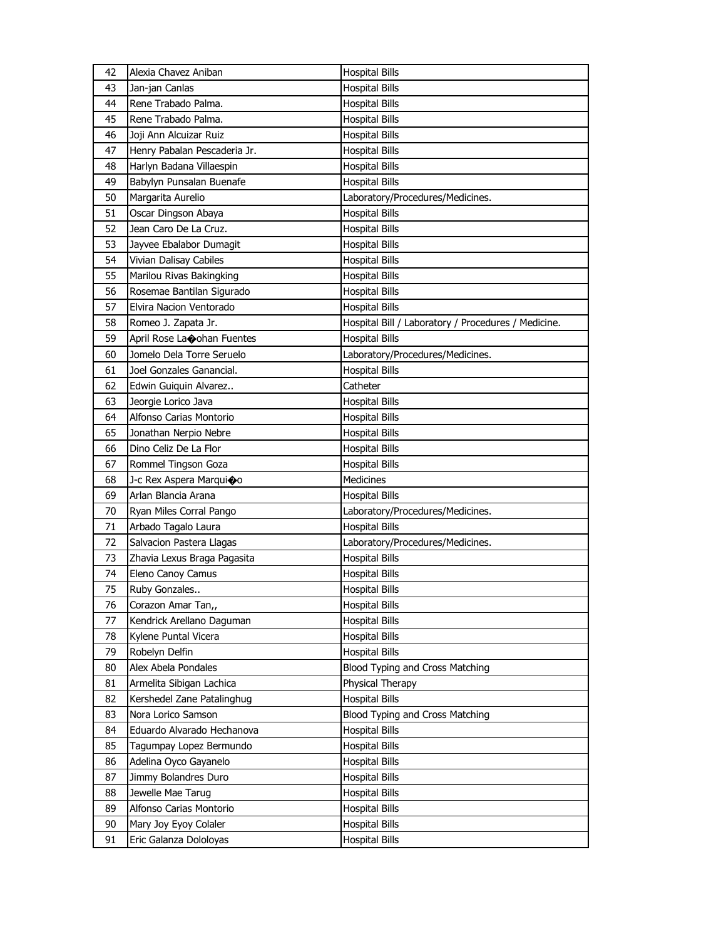| 42       | Alexia Chavez Aniban                             | <b>Hospital Bills</b>                               |
|----------|--------------------------------------------------|-----------------------------------------------------|
| 43       | Jan-jan Canlas                                   | <b>Hospital Bills</b>                               |
| 44       | Rene Trabado Palma.                              | <b>Hospital Bills</b>                               |
| 45       | Rene Trabado Palma.                              | <b>Hospital Bills</b>                               |
| 46       | Joji Ann Alcuizar Ruiz                           | <b>Hospital Bills</b>                               |
| 47       | Henry Pabalan Pescaderia Jr.                     | <b>Hospital Bills</b>                               |
| 48       | Harlyn Badana Villaespin                         | <b>Hospital Bills</b>                               |
| 49       | Babylyn Punsalan Buenafe                         | <b>Hospital Bills</b>                               |
| 50       | Margarita Aurelio                                | Laboratory/Procedures/Medicines.                    |
| 51       | Oscar Dingson Abaya                              | <b>Hospital Bills</b>                               |
| 52       | Jean Caro De La Cruz.                            | <b>Hospital Bills</b>                               |
| 53       | Jayvee Ebalabor Dumagit                          | <b>Hospital Bills</b>                               |
| 54       | Vivian Dalisay Cabiles                           | <b>Hospital Bills</b>                               |
| 55       | Marilou Rivas Bakingking                         | <b>Hospital Bills</b>                               |
| 56       | Rosemae Bantilan Sigurado                        | <b>Hospital Bills</b>                               |
| 57       | Elvira Nacion Ventorado                          | <b>Hospital Bills</b>                               |
| 58       | Romeo J. Zapata Jr.                              | Hospital Bill / Laboratory / Procedures / Medicine. |
| 59       | April Rose Landohan Fuentes                      | <b>Hospital Bills</b>                               |
| 60       | Jomelo Dela Torre Seruelo                        | Laboratory/Procedures/Medicines.                    |
| 61       | Joel Gonzales Ganancial.                         | <b>Hospital Bills</b>                               |
| 62       | Edwin Guiguin Alvarez                            | Catheter                                            |
| 63       | Jeorgie Lorico Java                              | <b>Hospital Bills</b>                               |
| 64       | Alfonso Carias Montorio                          | Hospital Bills                                      |
| 65       | Jonathan Nerpio Nebre                            | <b>Hospital Bills</b>                               |
| 66       | Dino Celiz De La Flor                            | <b>Hospital Bills</b>                               |
|          |                                                  |                                                     |
|          |                                                  |                                                     |
| 67       | Rommel Tingson Goza                              | <b>Hospital Bills</b>                               |
| 68<br>69 | J-c Rex Aspera Marquioo                          | Medicines                                           |
|          | Arlan Blancia Arana                              | <b>Hospital Bills</b>                               |
| 70       | Ryan Miles Corral Pango                          | Laboratory/Procedures/Medicines.                    |
| 71<br>72 | Arbado Tagalo Laura                              | <b>Hospital Bills</b>                               |
| 73       | Salvacion Pastera Llagas                         | Laboratory/Procedures/Medicines.                    |
|          | Zhavia Lexus Braga Pagasita                      | <b>Hospital Bills</b>                               |
| 74       | Eleno Canoy Camus                                | <b>Hospital Bills</b>                               |
| 75       | Ruby Gonzales                                    | <b>Hospital Bills</b>                               |
| 76       | Corazon Amar Tan,,                               | <b>Hospital Bills</b>                               |
| 77<br>78 | Kendrick Arellano Daguman                        | <b>Hospital Bills</b>                               |
| 79       | Kylene Puntal Vicera                             | <b>Hospital Bills</b>                               |
|          | Robelyn Delfin                                   | <b>Hospital Bills</b>                               |
| 80       | Alex Abela Pondales                              | Blood Typing and Cross Matching                     |
| 81       | Armelita Sibigan Lachica                         | Physical Therapy                                    |
| 82       | Kershedel Zane Patalinghug                       | <b>Hospital Bills</b>                               |
| 83<br>84 | Nora Lorico Samson<br>Eduardo Alvarado Hechanova | Blood Typing and Cross Matching                     |
| 85       |                                                  | <b>Hospital Bills</b>                               |
|          | Tagumpay Lopez Bermundo                          | <b>Hospital Bills</b>                               |
| 86<br>87 | Adelina Oyco Gayanelo                            | <b>Hospital Bills</b>                               |
|          | Jimmy Bolandres Duro                             | <b>Hospital Bills</b>                               |
| 88<br>89 | Jewelle Mae Tarug                                | <b>Hospital Bills</b>                               |
|          | Alfonso Carias Montorio                          | <b>Hospital Bills</b>                               |
| 90<br>91 | Mary Joy Eyoy Colaler<br>Eric Galanza Dololoyas  | <b>Hospital Bills</b><br><b>Hospital Bills</b>      |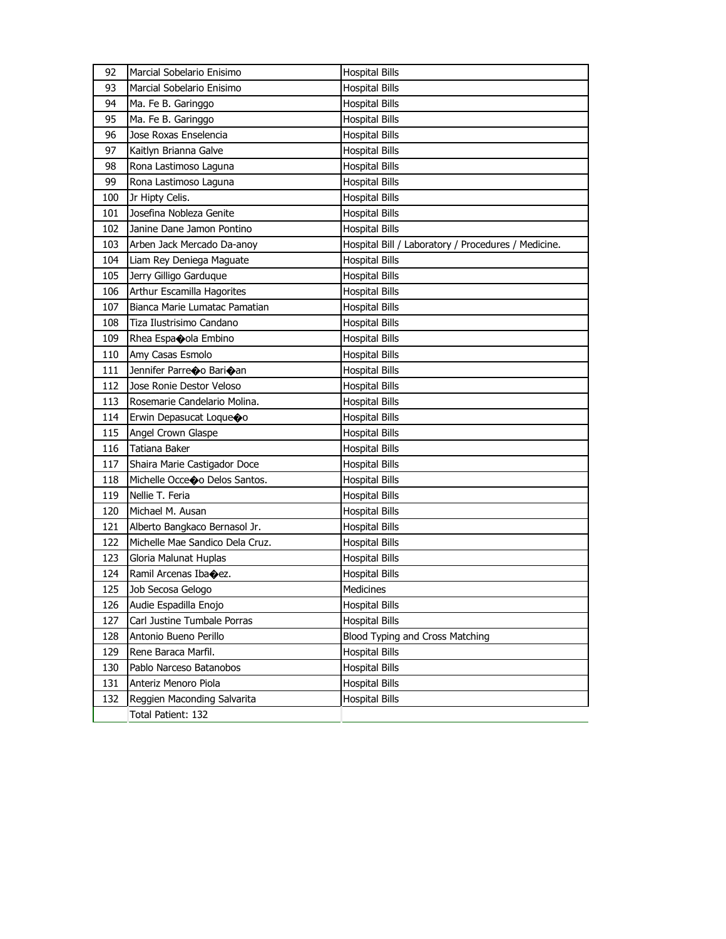| 92  | Marcial Sobelario Enisimo       | <b>Hospital Bills</b>                               |
|-----|---------------------------------|-----------------------------------------------------|
| 93  | Marcial Sobelario Enisimo       | <b>Hospital Bills</b>                               |
| 94  | Ma. Fe B. Garinggo              | <b>Hospital Bills</b>                               |
| 95  | Ma. Fe B. Garinggo              | <b>Hospital Bills</b>                               |
| 96  | Jose Roxas Enselencia           | Hospital Bills                                      |
| 97  | Kaitlyn Brianna Galve           | <b>Hospital Bills</b>                               |
| 98  | Rona Lastimoso Laguna           | Hospital Bills                                      |
| 99  | Rona Lastimoso Laguna           | <b>Hospital Bills</b>                               |
| 100 | Jr Hipty Celis.                 | <b>Hospital Bills</b>                               |
| 101 | Josefina Nobleza Genite         | <b>Hospital Bills</b>                               |
| 102 | Janine Dane Jamon Pontino       | <b>Hospital Bills</b>                               |
| 103 | Arben Jack Mercado Da-anoy      | Hospital Bill / Laboratory / Procedures / Medicine. |
| 104 | Liam Rey Deniega Maguate        | <b>Hospital Bills</b>                               |
| 105 | Jerry Gilligo Garduque          | <b>Hospital Bills</b>                               |
| 106 | Arthur Escamilla Hagorites      | <b>Hospital Bills</b>                               |
| 107 | Bianca Marie Lumatac Pamatian   | <b>Hospital Bills</b>                               |
| 108 | Tiza Ilustrisimo Candano        | <b>Hospital Bills</b>                               |
| 109 | Rhea Espaoola Embino            | <b>Hospital Bills</b>                               |
| 110 | Amy Casas Esmolo                | <b>Hospital Bills</b>                               |
| 111 | Jennifer Parreco Barioan        | <b>Hospital Bills</b>                               |
| 112 | Jose Ronie Destor Veloso        | <b>Hospital Bills</b>                               |
| 113 | Rosemarie Candelario Molina.    | Hospital Bills                                      |
| 114 | Erwin Depasucat Loque�o         | <b>Hospital Bills</b>                               |
| 115 | Angel Crown Glaspe              | <b>Hospital Bills</b>                               |
| 116 | Tatiana Baker                   | Hospital Bills                                      |
| 117 | Shaira Marie Castigador Doce    | <b>Hospital Bills</b>                               |
| 118 | Michelle Occeo Delos Santos.    | Hospital Bills                                      |
| 119 | Nellie T. Feria                 | <b>Hospital Bills</b>                               |
| 120 | Michael M. Ausan                | <b>Hospital Bills</b>                               |
| 121 | Alberto Bangkaco Bernasol Jr.   | <b>Hospital Bills</b>                               |
| 122 | Michelle Mae Sandico Dela Cruz. | <b>Hospital Bills</b>                               |
| 123 | Gloria Malunat Huplas           | Hospital Bills                                      |
| 124 | Ramil Arcenas Ibacez.           | <b>Hospital Bills</b>                               |
| 125 | Job Secosa Gelogo               | Medicines                                           |
| 126 | Audie Espadilla Enojo           | <b>Hospital Bills</b>                               |
| 127 | Carl Justine Tumbale Porras     | <b>Hospital Bills</b>                               |
| 128 | Antonio Bueno Perillo           | Blood Typing and Cross Matching                     |
| 129 | Rene Baraca Marfil.             | <b>Hospital Bills</b>                               |
| 130 | Pablo Narceso Batanobos         | <b>Hospital Bills</b>                               |
| 131 | Anteriz Menoro Piola            | <b>Hospital Bills</b>                               |
| 132 | Reggien Maconding Salvarita     | <b>Hospital Bills</b>                               |
|     | Total Patient: 132              |                                                     |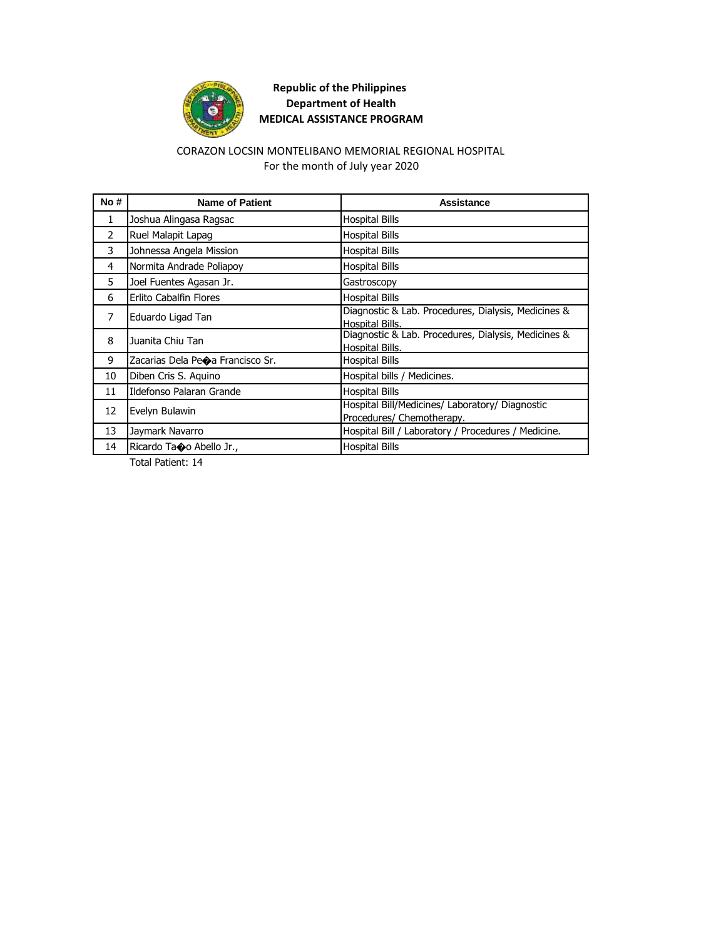

#### CORAZON LOCSIN MONTELIBANO MEMORIAL REGIONAL HOSPITAL For the month of July year 2020

| No#            | <b>Name of Patient</b>                        | <b>Assistance</b>                                                            |
|----------------|-----------------------------------------------|------------------------------------------------------------------------------|
| $\mathbf{1}$   | Joshua Alingasa Ragsac                        | <b>Hospital Bills</b>                                                        |
| $\overline{2}$ | Ruel Malapit Lapag                            | <b>Hospital Bills</b>                                                        |
| 3              | Johnessa Angela Mission                       | <b>Hospital Bills</b>                                                        |
| 4              | Normita Andrade Poliapoy                      | <b>Hospital Bills</b>                                                        |
| 5.             | Joel Fuentes Agasan Jr.                       | Gastroscopy                                                                  |
| 6              | Erlito Cabalfin Flores                        | <b>Hospital Bills</b>                                                        |
| 7              | Eduardo Ligad Tan                             | Diagnostic & Lab. Procedures, Dialysis, Medicines &<br>Hospital Bills.       |
| 8              | Juanita Chiu Tan                              | Diagnostic & Lab. Procedures, Dialysis, Medicines &<br>Hospital Bills.       |
| 9              | Zacarias Dela Pe $\spadesuit$ a Francisco Sr. | <b>Hospital Bills</b>                                                        |
| 10             | Diben Cris S. Aguino                          | Hospital bills / Medicines.                                                  |
| 11             | Ildefonso Palaran Grande                      | <b>Hospital Bills</b>                                                        |
| 12             | Evelyn Bulawin                                | Hospital Bill/Medicines/ Laboratory/ Diagnostic<br>Procedures/ Chemotherapy. |
| 13             | Jaymark Navarro                               | Hospital Bill / Laboratory / Procedures / Medicine.                          |
| 14             | Ricardo Taoo Abello Jr.,                      | <b>Hospital Bills</b>                                                        |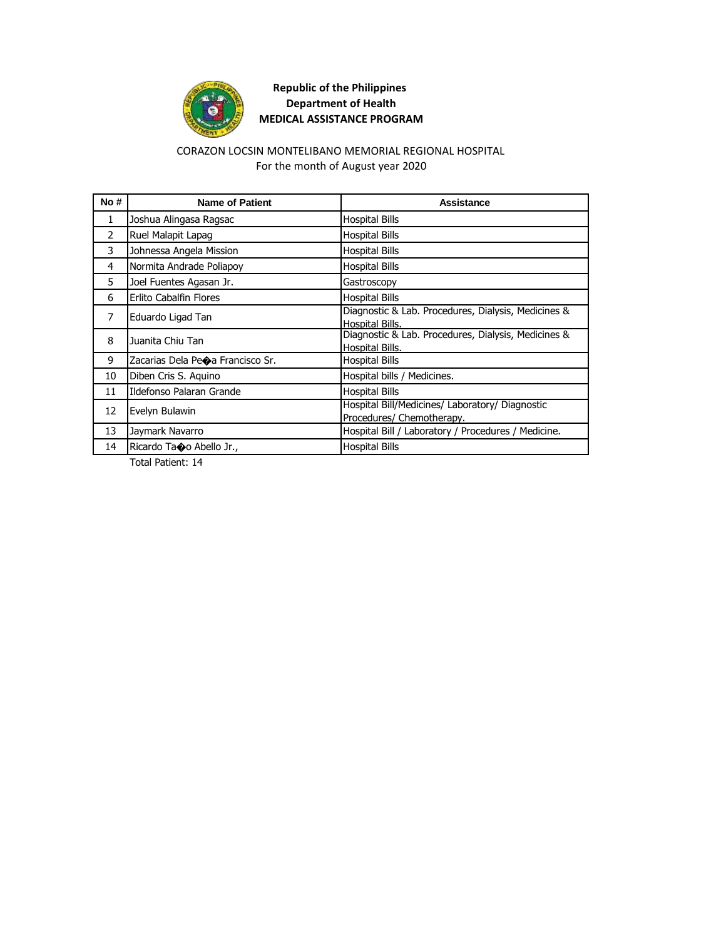

#### CORAZON LOCSIN MONTELIBANO MEMORIAL REGIONAL HOSPITAL For the month of August year 2020

| No#            | <b>Name of Patient</b>                        | Assistance                                                                   |
|----------------|-----------------------------------------------|------------------------------------------------------------------------------|
| $\mathbf{1}$   | Joshua Alingasa Ragsac                        | <b>Hospital Bills</b>                                                        |
| $\overline{2}$ | Ruel Malapit Lapag                            | <b>Hospital Bills</b>                                                        |
| 3              | Johnessa Angela Mission                       | <b>Hospital Bills</b>                                                        |
| 4              | Normita Andrade Poliapoy                      | <b>Hospital Bills</b>                                                        |
| 5.             | Joel Fuentes Agasan Jr.                       | Gastroscopy                                                                  |
| 6              | <b>Erlito Cabalfin Flores</b>                 | <b>Hospital Bills</b>                                                        |
| 7              | Eduardo Ligad Tan                             | Diagnostic & Lab. Procedures, Dialysis, Medicines &<br>Hospital Bills.       |
| 8              | Juanita Chiu Tan                              | Diagnostic & Lab. Procedures, Dialysis, Medicines &<br>Hospital Bills.       |
| 9              | Zacarias Dela Pe $\spadesuit$ a Francisco Sr. | <b>Hospital Bills</b>                                                        |
| 10             | Diben Cris S. Aquino                          | Hospital bills / Medicines.                                                  |
| 11             | Ildefonso Palaran Grande                      | <b>Hospital Bills</b>                                                        |
| 12             | Evelyn Bulawin                                | Hospital Bill/Medicines/ Laboratory/ Diagnostic<br>Procedures/ Chemotherapy. |
| 13             | Jaymark Navarro                               | Hospital Bill / Laboratory / Procedures / Medicine.                          |
| 14             | Ricardo Taoo Abello Jr.,                      | <b>Hospital Bills</b>                                                        |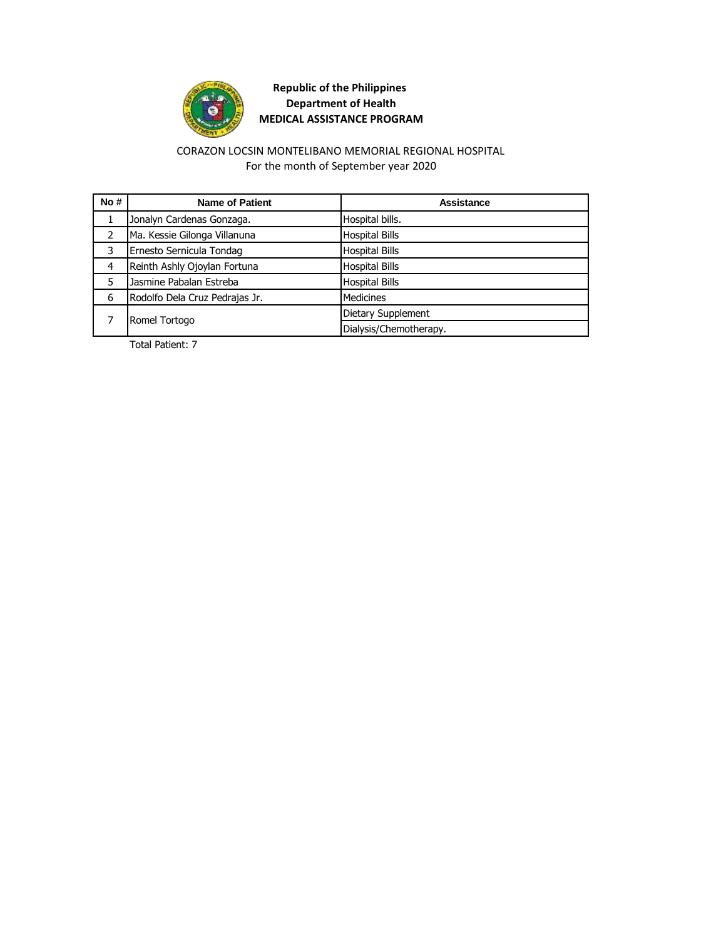

#### CORAZON LOCSIN MONTELIBANO MEMORIAL REGIONAL HOSPITAL For the month of September year 2020

| No# | <b>Name of Patient</b>         | Assistance             |
|-----|--------------------------------|------------------------|
|     | Jonalyn Cardenas Gonzaga.      | Hospital bills.        |
|     | Ma. Kessie Gilonga Villanuna   | <b>Hospital Bills</b>  |
|     | Ernesto Sernicula Tondag       | <b>Hospital Bills</b>  |
| 4   | Reinth Ashly Ojoylan Fortuna   | <b>Hospital Bills</b>  |
| 5   | Jasmine Pabalan Estreba        | <b>Hospital Bills</b>  |
| 6   | Rodolfo Dela Cruz Pedrajas Jr. | Medicines              |
|     | Romel Tortogo                  | Dietary Supplement     |
|     |                                | Dialysis/Chemotherapy. |